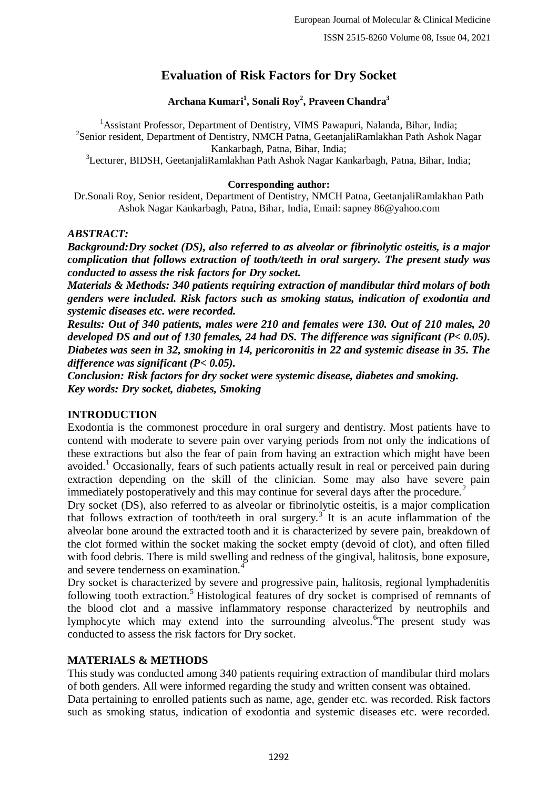# **Evaluation of Risk Factors for Dry Socket**

### **Archana Kumari<sup>1</sup> , Sonali Roy<sup>2</sup> , Praveen Chandra<sup>3</sup>**

<sup>1</sup> Assistant Professor, Department of Dentistry, VIMS Pawapuri, Nalanda, Bihar, India; <sup>2</sup>Senior resident, Department of Dentistry, NMCH Patna, GeetanjaliRamlakhan Path Ashok Nagar Kankarbagh, Patna, Bihar, India;

<sup>3</sup>Lecturer, BIDSH, GeetanjaliRamlakhan Path Ashok Nagar Kankarbagh, Patna, Bihar, India;

#### **Corresponding author:**

Dr.Sonali Roy, Senior resident, Department of Dentistry, NMCH Patna, GeetanjaliRamlakhan Path Ashok Nagar Kankarbagh, Patna, Bihar, India, Email: sapney 86@yahoo.com

#### *ABSTRACT:*

*Background:Dry socket (DS), also referred to as alveolar or fibrinolytic osteitis, is a major complication that follows extraction of tooth/teeth in oral surgery. The present study was conducted to assess the risk factors for Dry socket.*

*Materials & Methods: 340 patients requiring extraction of mandibular third molars of both genders were included. Risk factors such as smoking status, indication of exodontia and systemic diseases etc. were recorded.* 

*Results: Out of 340 patients, males were 210 and females were 130. Out of 210 males, 20 developed DS and out of 130 females, 24 had DS. The difference was significant (P< 0.05). Diabetes was seen in 32, smoking in 14, pericoronitis in 22 and systemic disease in 35. The difference was significant (P< 0.05).*

*Conclusion: Risk factors for dry socket were systemic disease, diabetes and smoking. Key words: Dry socket, diabetes, Smoking*

### **INTRODUCTION**

Exodontia is the commonest procedure in oral surgery and dentistry. Most patients have to contend with moderate to severe pain over varying periods from not only the indications of these extractions but also the fear of pain from having an extraction which might have been avoided.<sup>1</sup> Occasionally, fears of such patients actually result in real or perceived pain during extraction depending on the skill of the clinician. Some may also have severe pain immediately postoperatively and this may continue for several days after the procedure.<sup>2</sup>

Dry socket (DS), also referred to as alveolar or fibrinolytic osteitis, is a major complication that follows extraction of tooth/teeth in oral surgery.<sup>3</sup> It is an acute inflammation of the alveolar bone around the extracted tooth and it is characterized by severe pain, breakdown of the clot formed within the socket making the socket empty (devoid of clot), and often filled with food debris. There is mild swelling and redness of the gingival, halitosis, bone exposure, and severe tenderness on examination.<sup>4</sup>

Dry socket is characterized by severe and progressive pain, halitosis, regional lymphadenitis following tooth extraction.<sup>5</sup> Histological features of dry socket is comprised of remnants of the blood clot and a massive inflammatory response characterized by neutrophils and lymphocyte which may extend into the surrounding alveolus. The present study was conducted to assess the risk factors for Dry socket.

#### **MATERIALS & METHODS**

This study was conducted among 340 patients requiring extraction of mandibular third molars of both genders. All were informed regarding the study and written consent was obtained.

Data pertaining to enrolled patients such as name, age, gender etc. was recorded. Risk factors such as smoking status, indication of exodontia and systemic diseases etc. were recorded.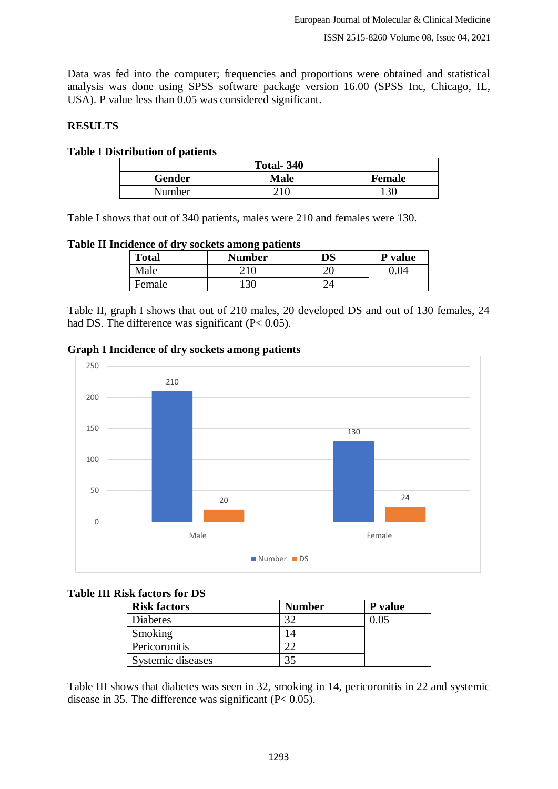Data was fed into the computer; frequencies and proportions were obtained and statistical analysis was done using SPSS software package version 16.00 (SPSS Inc, Chicago, IL, USA). P value less than 0.05 was considered significant.

### **RESULTS**

#### **Table I Distribution of patients**

| <b>Total-340</b> |             |               |  |  |
|------------------|-------------|---------------|--|--|
| Gender           | <b>Male</b> | <b>Female</b> |  |  |
| Number           | 210         | । २८          |  |  |

Table I shows that out of 340 patients, males were 210 and females were 130.

**Table II Incidence of dry sockets among patients**

| <b>Total</b> | - 1<br><b>Number</b> | $\overline{\text{DS}}$ | <b>P</b> value |
|--------------|----------------------|------------------------|----------------|
| Male         | 210                  | ۷J                     |                |
| Female       | 30                   |                        |                |

Table II, graph I shows that out of 210 males, 20 developed DS and out of 130 females, 24 had DS. The difference was significant (P< 0.05).

**Graph I Incidence of dry sockets among patients**



**Table III Risk factors for DS**

| <b>Risk factors</b> | <b>Number</b> | P value |
|---------------------|---------------|---------|
| <b>Diabetes</b>     | 30            | 0.05    |
| Smoking             | 14            |         |
| Pericoronitis       | າາ            |         |
| Systemic diseases   | 35            |         |

Table III shows that diabetes was seen in 32, smoking in 14, pericoronitis in 22 and systemic disease in 35. The difference was significant (P< 0.05).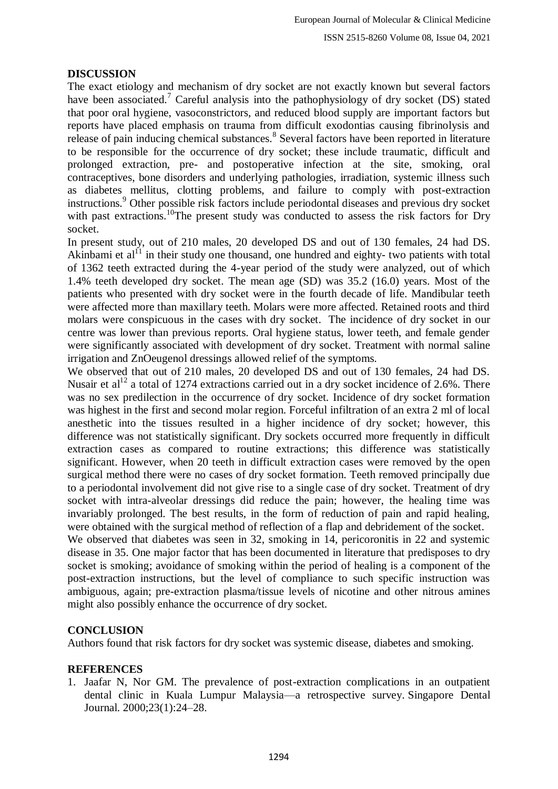# **DISCUSSION**

The exact etiology and mechanism of dry socket are not exactly known but several factors have been associated.<sup>7</sup> Careful analysis into the pathophysiology of dry socket (DS) stated that poor oral hygiene, vasoconstrictors, and reduced blood supply are important factors but reports have placed emphasis on trauma from difficult exodontias causing fibrinolysis and release of pain inducing chemical substances.<sup>8</sup> Several factors have been reported in literature to be responsible for the occurrence of dry socket; these include traumatic, difficult and prolonged extraction, pre- and postoperative infection at the site, smoking, oral contraceptives, bone disorders and underlying pathologies, irradiation, systemic illness such as diabetes mellitus, clotting problems, and failure to comply with post-extraction instructions.<sup>9</sup> Other possible risk factors include periodontal diseases and previous dry socket with past extractions.<sup>10</sup>The present study was conducted to assess the risk factors for Dry socket.

In present study, out of 210 males, 20 developed DS and out of 130 females, 24 had DS. Akinbami et  $al<sup>11</sup>$  in their study one thousand, one hundred and eighty- two patients with total of 1362 teeth extracted during the 4-year period of the study were analyzed, out of which 1.4% teeth developed dry socket. The mean age (SD) was 35.2 (16.0) years. Most of the patients who presented with dry socket were in the fourth decade of life. Mandibular teeth were affected more than maxillary teeth. Molars were more affected. Retained roots and third molars were conspicuous in the cases with dry socket. The incidence of dry socket in our centre was lower than previous reports. Oral hygiene status, lower teeth, and female gender were significantly associated with development of dry socket. Treatment with normal saline irrigation and ZnOeugenol dressings allowed relief of the symptoms.

We observed that out of 210 males, 20 developed DS and out of 130 females, 24 had DS. Nusair et al<sup>12</sup> a total of 1274 extractions carried out in a dry socket incidence of 2.6%. There was no sex predilection in the occurrence of dry socket. Incidence of dry socket formation was highest in the first and second molar region. Forceful infiltration of an extra 2 ml of local anesthetic into the tissues resulted in a higher incidence of dry socket; however, this difference was not statistically significant. Dry sockets occurred more frequently in difficult extraction cases as compared to routine extractions; this difference was statistically significant. However, when 20 teeth in difficult extraction cases were removed by the open surgical method there were no cases of dry socket formation. Teeth removed principally due to a periodontal involvement did not give rise to a single case of dry socket. Treatment of dry socket with intra-alveolar dressings did reduce the pain; however, the healing time was invariably prolonged. The best results, in the form of reduction of pain and rapid healing, were obtained with the surgical method of reflection of a flap and debridement of the socket.

We observed that diabetes was seen in 32, smoking in 14, pericoronitis in 22 and systemic disease in 35. One major factor that has been documented in literature that predisposes to dry socket is smoking; avoidance of smoking within the period of healing is a component of the post-extraction instructions, but the level of compliance to such specific instruction was ambiguous, again; pre-extraction plasma/tissue levels of nicotine and other nitrous amines might also possibly enhance the occurrence of dry socket.

# **CONCLUSION**

Authors found that risk factors for dry socket was systemic disease, diabetes and smoking.

# **REFERENCES**

1. Jaafar N, Nor GM. The prevalence of post-extraction complications in an outpatient dental clinic in Kuala Lumpur Malaysia—a retrospective survey. Singapore Dental Journal. 2000;23(1):24–28.